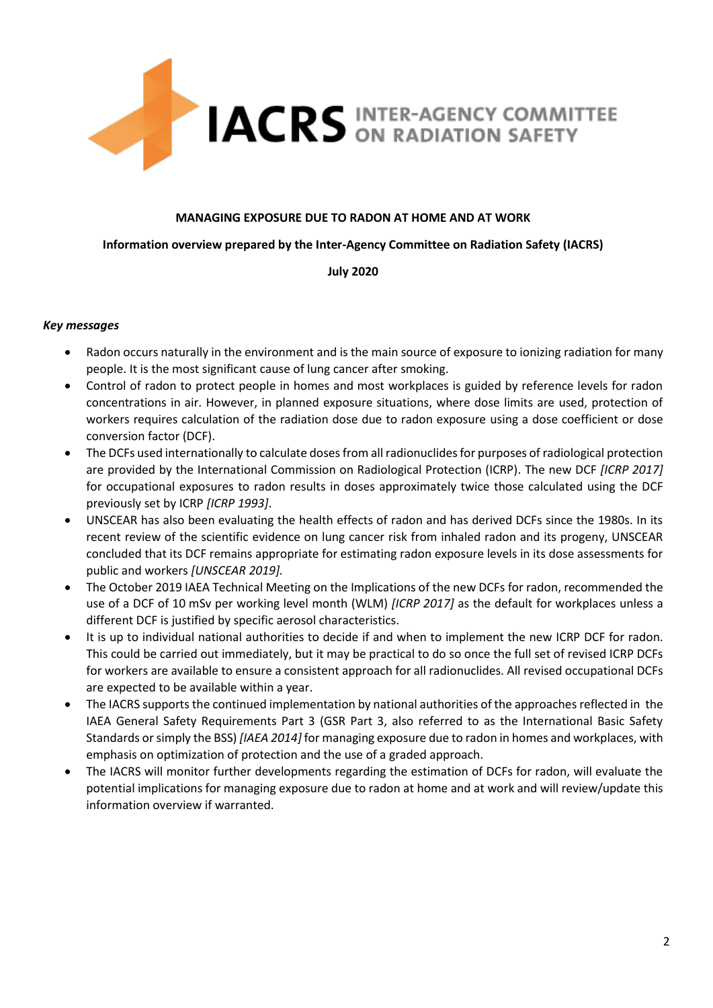

### **MANAGING EXPOSURE DUE TO RADON AT HOME AND AT WORK**

### **Information overview prepared by the Inter-Agency Committee on Radiation Safety (IACRS)**

### **July 2020**

### *Key messages*

- Radon occurs naturally in the environment and is the main source of exposure to ionizing radiation for many people. It is the most significant cause of lung cancer after smoking.
- Control of radon to protect people in homes and most workplaces is guided by reference levels for radon concentrations in air. However, in planned exposure situations, where dose limits are used, protection of workers requires calculation of the radiation dose due to radon exposure using a dose coefficient or dose conversion factor (DCF).
- The DCFs used internationally to calculate doses from all radionuclides for purposes of radiological protection are provided by the International Commission on Radiological Protection (ICRP). The new DCF *[ICRP 2017]* for occupational exposures to radon results in doses approximately twice those calculated using the DCF previously set by ICRP *[ICRP 1993]*.
- UNSCEAR has also been evaluating the health effects of radon and has derived DCFs since the 1980s. In its recent review of the scientific evidence on lung cancer risk from inhaled radon and its progeny, UNSCEAR concluded that its DCF remains appropriate for estimating radon exposure levels in its dose assessments for public and workers *[UNSCEAR 2019].*
- The October 2019 IAEA Technical Meeting on the Implications of the new DCFs for radon, recommended the use of a DCF of 10 mSv per working level month (WLM) *[ICRP 2017]* as the default for workplaces unless a different DCF is justified by specific aerosol characteristics.
- It is up to individual national authorities to decide if and when to implement the new ICRP DCF for radon. This could be carried out immediately, but it may be practical to do so once the full set of revised ICRP DCFs for workers are available to ensure a consistent approach for all radionuclides. All revised occupational DCFs are expected to be available within a year.
- The IACRS supports the continued implementation by national authorities of the approaches reflected in the IAEA General Safety Requirements Part 3 (GSR Part 3, also referred to as the International Basic Safety Standards or simply the BSS) *[IAEA 2014]* for managing exposure due to radon in homes and workplaces, with emphasis on optimization of protection and the use of a graded approach.
- The IACRS will monitor further developments regarding the estimation of DCFs for radon, will evaluate the potential implications for managing exposure due to radon at home and at work and will review/update this information overview if warranted.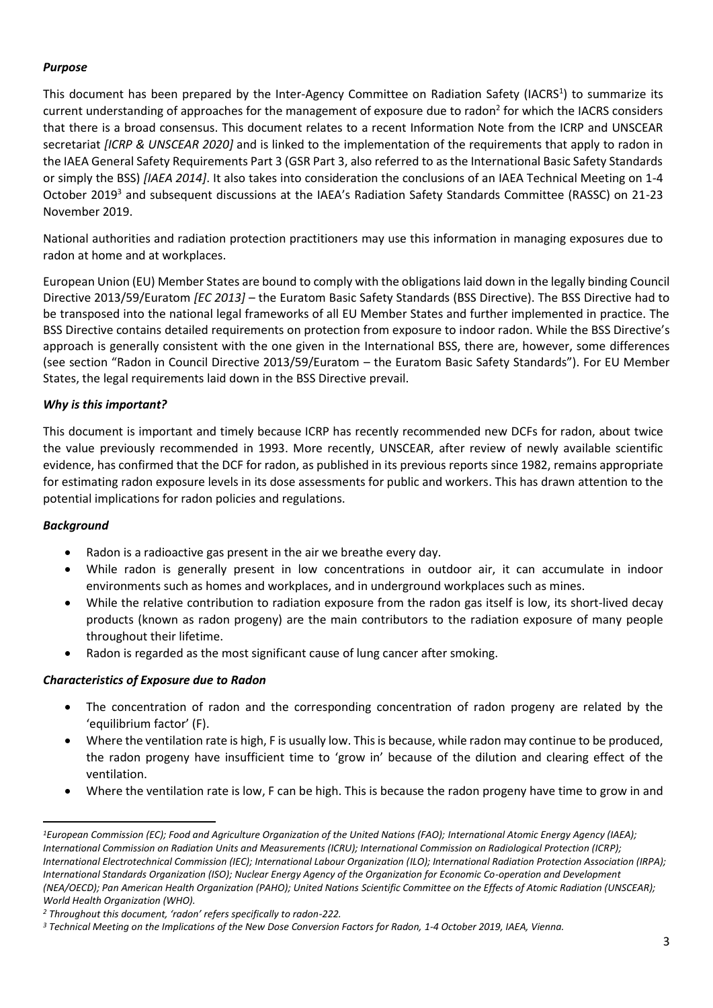# *Purpose*

This document has been prepared by the Inter-Agency Committee on Radiation Safety (IACRS<sup>1</sup>) to summarize its current understanding of approaches for the management of exposure due to radon<sup>2</sup> for which the IACRS considers that there is a broad consensus. This document relates to a recent Information Note from the ICRP and UNSCEAR secretariat *[ICRP & UNSCEAR 2020]* and is linked to the implementation of the requirements that apply to radon in the IAEA General Safety Requirements Part 3 (GSR Part 3, also referred to as the International Basic Safety Standards or simply the BSS) *[IAEA 2014]*. It also takes into consideration the conclusions of an IAEA Technical Meeting on 1-4 October 2019<sup>3</sup> and subsequent discussions at the IAEA's Radiation Safety Standards Committee (RASSC) on 21-23 November 2019.

National authorities and radiation protection practitioners may use this information in managing exposures due to radon at home and at workplaces.

European Union (EU) Member States are bound to comply with the obligations laid down in the legally binding Council Directive 2013/59/Euratom *[EC 2013]* – the Euratom Basic Safety Standards (BSS Directive). The BSS Directive had to be transposed into the national legal frameworks of all EU Member States and further implemented in practice. The BSS Directive contains detailed requirements on protection from exposure to indoor radon. While the BSS Directive's approach is generally consistent with the one given in the International BSS, there are, however, some differences (see section "Radon in Council Directive 2013/59/Euratom – the Euratom Basic Safety Standards"). For EU Member States, the legal requirements laid down in the BSS Directive prevail.

## *Why is this important?*

This document is important and timely because ICRP has recently recommended new DCFs for radon, about twice the value previously recommended in 1993. More recently, UNSCEAR, after review of newly available scientific evidence, has confirmed that the DCF for radon, as published in its previous reports since 1982, remains appropriate for estimating radon exposure levels in its dose assessments for public and workers. This has drawn attention to the potential implications for radon policies and regulations.

## *Background*

- Radon is a radioactive gas present in the air we breathe every day.
- While radon is generally present in low concentrations in outdoor air, it can accumulate in indoor environments such as homes and workplaces, and in underground workplaces such as mines.
- While the relative contribution to radiation exposure from the radon gas itself is low, its short-lived decay products (known as radon progeny) are the main contributors to the radiation exposure of many people throughout their lifetime.
- Radon is regarded as the most significant cause of lung cancer after smoking.

## *Characteristics of Exposure due to Radon*

- The concentration of radon and the corresponding concentration of radon progeny are related by the 'equilibrium factor' (F).
- Where the ventilation rate is high, F is usually low. This is because, while radon may continue to be produced, the radon progeny have insufficient time to 'grow in' because of the dilution and clearing effect of the ventilation.
- Where the ventilation rate is low, F can be high. This is because the radon progeny have time to grow in and

*<sup>1</sup>European Commission (EC); Food and Agriculture Organization of the United Nations (FAO); International Atomic Energy Agency (IAEA); International Commission on Radiation Units and Measurements (ICRU); International Commission on Radiological Protection (ICRP); International Electrotechnical Commission (IEC); International Labour Organization (ILO); International Radiation Protection Association (IRPA); International Standards Organization (ISO); Nuclear Energy Agency of the Organization for Economic Co-operation and Development (NEA/OECD); Pan American Health Organization (PAHO); United Nations Scientific Committee on the Effects of Atomic Radiation (UNSCEAR); World Health Organization (WHO).*

*<sup>2</sup> Throughout this document, 'radon' refers specifically to radon-222.*

*<sup>3</sup> Technical Meeting on the Implications of the New Dose Conversion Factors for Radon, 1-4 October 2019, IAEA, Vienna.*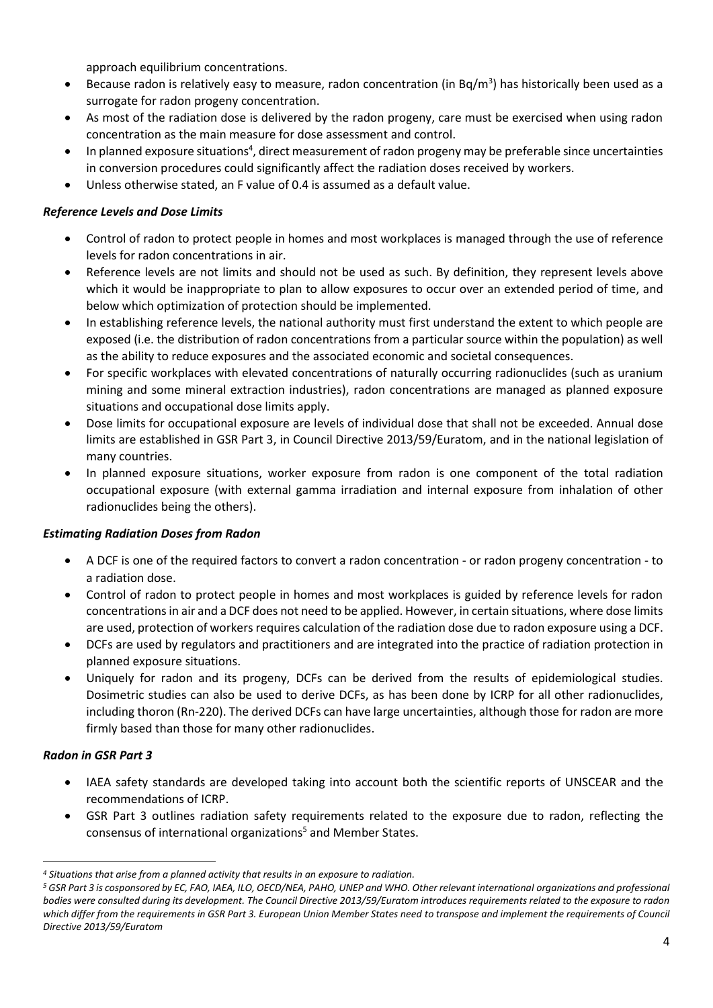approach equilibrium concentrations.

- Because radon is relatively easy to measure, radon concentration (in Bq/m<sup>3</sup>) has historically been used as a surrogate for radon progeny concentration.
- As most of the radiation dose is delivered by the radon progeny, care must be exercised when using radon concentration as the main measure for dose assessment and control.
- In planned exposure situations<sup>4</sup>, direct measurement of radon progeny may be preferable since uncertainties in conversion procedures could significantly affect the radiation doses received by workers.
- Unless otherwise stated, an F value of 0.4 is assumed as a default value.

### *Reference Levels and Dose Limits*

- Control of radon to protect people in homes and most workplaces is managed through the use of reference levels for radon concentrations in air.
- Reference levels are not limits and should not be used as such. By definition, they represent levels above which it would be inappropriate to plan to allow exposures to occur over an extended period of time, and below which optimization of protection should be implemented.
- In establishing reference levels, the national authority must first understand the extent to which people are exposed (i.e. the distribution of radon concentrations from a particular source within the population) as well as the ability to reduce exposures and the associated economic and societal consequences.
- For specific workplaces with elevated concentrations of naturally occurring radionuclides (such as uranium mining and some mineral extraction industries), radon concentrations are managed as planned exposure situations and occupational dose limits apply.
- Dose limits for occupational exposure are levels of individual dose that shall not be exceeded. Annual dose limits are established in GSR Part 3, in Council Directive 2013/59/Euratom, and in the national legislation of many countries.
- In planned exposure situations, worker exposure from radon is one component of the total radiation occupational exposure (with external gamma irradiation and internal exposure from inhalation of other radionuclides being the others).

### *Estimating Radiation Doses from Radon*

- A DCF is one of the required factors to convert a radon concentration or radon progeny concentration to a radiation dose.
- Control of radon to protect people in homes and most workplaces is guided by reference levels for radon concentrations in air and a DCF does not need to be applied. However, in certain situations, where dose limits are used, protection of workers requires calculation of the radiation dose due to radon exposure using a DCF.
- DCFs are used by regulators and practitioners and are integrated into the practice of radiation protection in planned exposure situations.
- Uniquely for radon and its progeny, DCFs can be derived from the results of epidemiological studies. Dosimetric studies can also be used to derive DCFs, as has been done by ICRP for all other radionuclides, including thoron (Rn-220). The derived DCFs can have large uncertainties, although those for radon are more firmly based than those for many other radionuclides.

### *Radon in GSR Part 3*

- IAEA safety standards are developed taking into account both the scientific reports of UNSCEAR and the recommendations of ICRP.
- GSR Part 3 outlines radiation safety requirements related to the exposure due to radon, reflecting the consensus of international organizations<sup>5</sup> and Member States.

*<sup>4</sup> Situations that arise from a planned activity that results in an exposure to radiation.*

*<sup>5</sup> GSR Part 3 is cosponsored by EC, FAO, IAEA, ILO, OECD/NEA, PAHO, UNEP and WHO. Other relevant international organizations and professional bodies were consulted during its development. The Council Directive 2013/59/Euratom introduces requirements related to the exposure to radon which differ from the requirements in GSR Part 3. European Union Member States need to transpose and implement the requirements of Council Directive 2013/59/Euratom*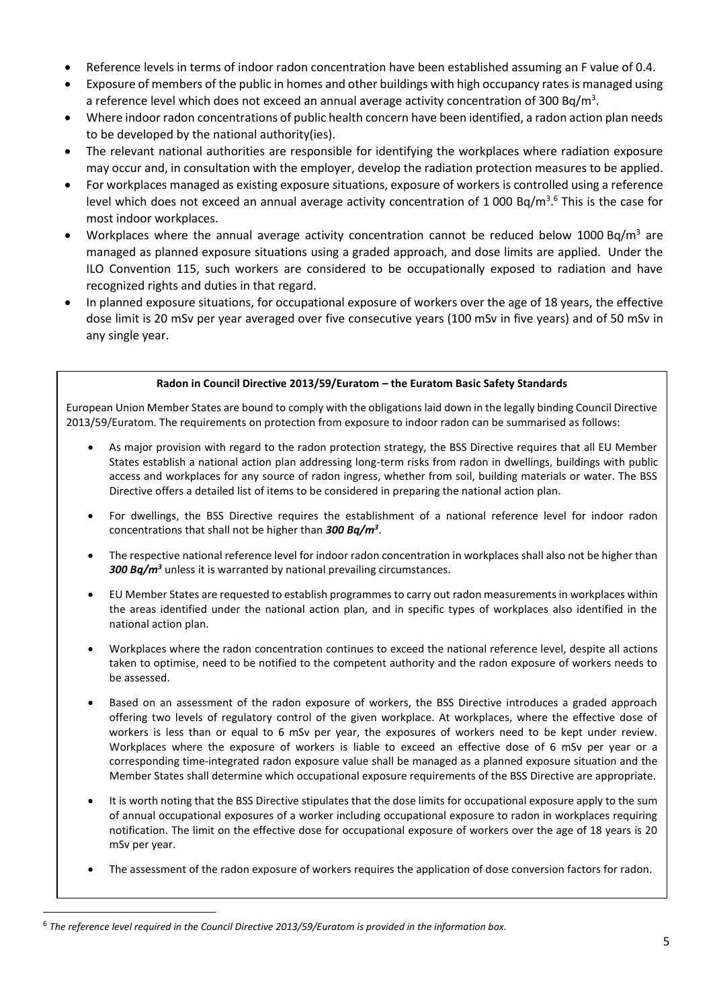- Reference levels in terms of indoor radon concentration have been established assuming an F value of 0.4.
- Exposure of members of the public in homes and other buildings with high occupancy rates is managed using a reference level which does not exceed an annual average activity concentration of 300 Bq/m<sup>3</sup>.
- Where indoor radon concentrations of public health concern have been identified, a radon action plan needs to be developed by the national authority(ies).
- The relevant national authorities are responsible for identifying the workplaces where radiation exposure may occur and, in consultation with the employer, develop the radiation protection measures to be applied.
- For workplaces managed as existing exposure situations, exposure of workers is controlled using a reference level which does not exceed an annual average activity concentration of 1 000 Bq/m<sup>3</sup>.<sup>6</sup> This is the case for most indoor workplaces.
- Workplaces where the annual average activity concentration cannot be reduced below 1000 Bq/m<sup>3</sup> are managed as planned exposure situations using a graded approach, and dose limits are applied. Under the ILO Convention 115, such workers are considered to be occupationally exposed to radiation and have recognized rights and duties in that regard.
- In planned exposure situations, for occupational exposure of workers over the age of 18 years, the effective dose limit is 20 mSv per year averaged over five consecutive years (100 mSv in five years) and of 50 mSv in any single year.

### **Radon in Council Directive 2013/59/Euratom – the Euratom Basic Safety Standards**

European Union Member States are bound to comply with the obligations laid down in the legally binding Council Directive 2013/59/Euratom. The requirements on protection from exposure to indoor radon can be summarised as follows:

- As major provision with regard to the radon protection strategy, the BSS Directive requires that all EU Member States establish a national action plan addressing long-term risks from radon in dwellings, buildings with public access and workplaces for any source of radon ingress, whether from soil, building materials or water. The BSS Directive offers a detailed list of items to be considered in preparing the national action plan.
- For dwellings, the BSS Directive requires the establishment of a national reference level for indoor radon concentrations that shall not be higher than *300 Bq/m<sup>3</sup>* .
- The respective national reference level for indoor radon concentration in workplaces shall also not be higher than *300 Bq/m<sup>3</sup>* unless it is warranted by national prevailing circumstances.
- EU Member States are requested to establish programmes to carry out radon measurements in workplaces within the areas identified under the national action plan, and in specific types of workplaces also identified in the national action plan.
- Workplaces where the radon concentration continues to exceed the national reference level, despite all actions taken to optimise, need to be notified to the competent authority and the radon exposure of workers needs to be assessed.
- Based on an assessment of the radon exposure of workers, the BSS Directive introduces a graded approach offering two levels of regulatory control of the given workplace. At workplaces, where the effective dose of workers is less than or equal to 6 mSv per year, the exposures of workers need to be kept under review. Workplaces where the exposure of workers is liable to exceed an effective dose of 6 mSv per year or a corresponding time-integrated radon exposure value shall be managed as a planned exposure situation and the Member States shall determine which occupational exposure requirements of the BSS Directive are appropriate.
- It is worth noting that the BSS Directive stipulates that the dose limits for occupational exposure apply to the sum of annual occupational exposures of a worker including occupational exposure to radon in workplaces requiring notification. The limit on the effective dose for occupational exposure of workers over the age of 18 years is 20 mSv per year.
- The assessment of the radon exposure of workers requires the application of dose conversion factors for radon.

<sup>6</sup> *The reference level required in the Council Directive 2013/59/Euratom is provided in the information box.*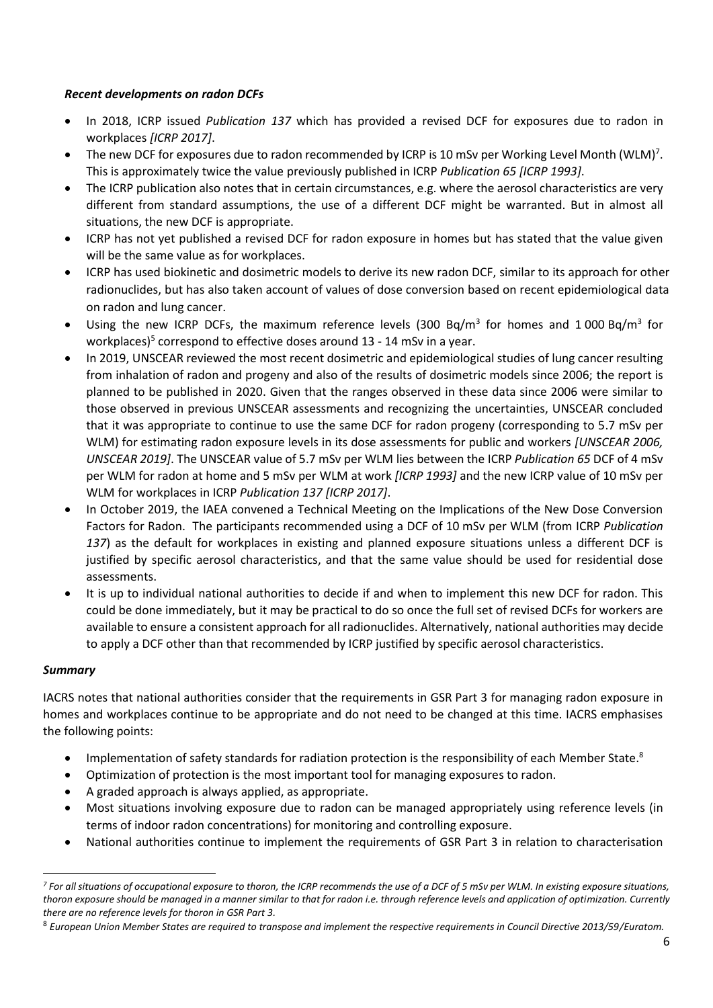### *Recent developments on radon DCFs*

- In 2018, ICRP issued *Publication 137* which has provided a revised DCF for exposures due to radon in workplaces *[ICRP 2017]*.
- The new DCF for exposures due to radon recommended by ICRP is 10 mSv per Working Level Month (WLM)<sup>7</sup>. This is approximately twice the value previously published in ICRP *Publication 65 [ICRP 1993]*.
- The ICRP publication also notes that in certain circumstances, e.g. where the aerosol characteristics are very different from standard assumptions, the use of a different DCF might be warranted. But in almost all situations, the new DCF is appropriate.
- ICRP has not yet published a revised DCF for radon exposure in homes but has stated that the value given will be the same value as for workplaces.
- ICRP has used biokinetic and dosimetric models to derive its new radon DCF, similar to its approach for other radionuclides, but has also taken account of values of dose conversion based on recent epidemiological data on radon and lung cancer.
- Using the new ICRP DCFs, the maximum reference levels (300 Bq/m<sup>3</sup> for homes and 1000 Bq/m<sup>3</sup> for workplaces)<sup>5</sup> correspond to effective doses around 13 - 14 mSv in a year.
- In 2019, UNSCEAR reviewed the most recent dosimetric and epidemiological studies of lung cancer resulting from inhalation of radon and progeny and also of the results of dosimetric models since 2006; the report is planned to be published in 2020. Given that the ranges observed in these data since 2006 were similar to those observed in previous UNSCEAR assessments and recognizing the uncertainties, UNSCEAR concluded that it was appropriate to continue to use the same DCF for radon progeny (corresponding to 5.7 mSv per WLM) for estimating radon exposure levels in its dose assessments for public and workers *[UNSCEAR 2006, UNSCEAR 2019]*. The UNSCEAR value of 5.7 mSv per WLM lies between the ICRP *Publication 65* DCF of 4 mSv per WLM for radon at home and 5 mSv per WLM at work *[ICRP 1993]* and the new ICRP value of 10 mSv per WLM for workplaces in ICRP *Publication 137 [ICRP 2017]*.
- In October 2019, the IAEA convened a Technical Meeting on the Implications of the New Dose Conversion Factors for Radon. The participants recommended using a DCF of 10 mSv per WLM (from ICRP *Publication 137*) as the default for workplaces in existing and planned exposure situations unless a different DCF is justified by specific aerosol characteristics, and that the same value should be used for residential dose assessments.
- It is up to individual national authorities to decide if and when to implement this new DCF for radon. This could be done immediately, but it may be practical to do so once the full set of revised DCFs for workers are available to ensure a consistent approach for all radionuclides. Alternatively, national authorities may decide to apply a DCF other than that recommended by ICRP justified by specific aerosol characteristics.

### *Summary*

IACRS notes that national authorities consider that the requirements in GSR Part 3 for managing radon exposure in homes and workplaces continue to be appropriate and do not need to be changed at this time. IACRS emphasises the following points:

- Implementation of safety standards for radiation protection is the responsibility of each Member State.<sup>8</sup>
- Optimization of protection is the most important tool for managing exposures to radon.
- A graded approach is always applied, as appropriate.
- Most situations involving exposure due to radon can be managed appropriately using reference levels (in terms of indoor radon concentrations) for monitoring and controlling exposure.
- National authorities continue to implement the requirements of GSR Part 3 in relation to characterisation

*<sup>7</sup> For all situations of occupational exposure to thoron, the ICRP recommends the use of a DCF of 5 mSv per WLM. In existing exposure situations, thoron exposure should be managed in a manner similar to that for radon i.e. through reference levels and application of optimization. Currently there are no reference levels for thoron in GSR Part 3.*

<sup>8</sup> *European Union Member States are required to transpose and implement the respective requirements in Council Directive 2013/59/Euratom.*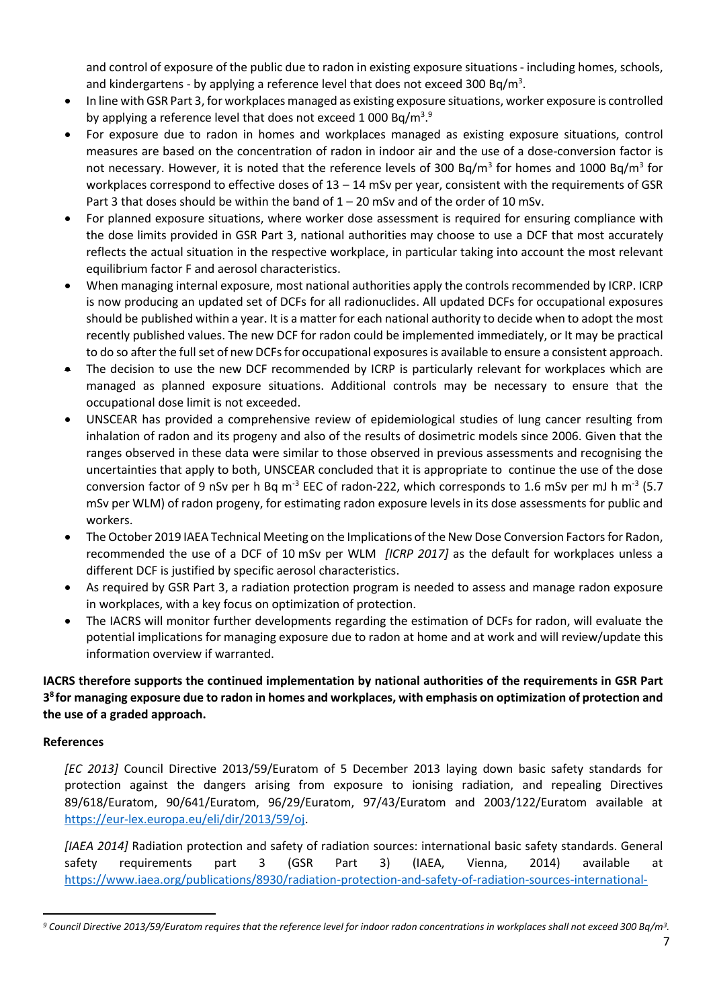and control of exposure of the public due to radon in existing exposure situations - including homes, schools, and kindergartens - by applying a reference level that does not exceed 300 Bq/m<sup>3</sup>.

- In line with GSR Part 3, for workplaces managed as existing exposure situations, worker exposure is controlled by applying a reference level that does not exceed 1 000 Bq/m<sup>3</sup>.9
- For exposure due to radon in homes and workplaces managed as existing exposure situations, control measures are based on the concentration of radon in indoor air and the use of a dose-conversion factor is not necessary. However, it is noted that the reference levels of 300 Bq/m<sup>3</sup> for homes and 1000 Bq/m<sup>3</sup> for workplaces correspond to effective doses of 13 – 14 mSv per year, consistent with the requirements of GSR Part 3 that doses should be within the band of  $1 - 20$  mSv and of the order of 10 mSv.
- For planned exposure situations, where worker dose assessment is required for ensuring compliance with the dose limits provided in GSR Part 3, national authorities may choose to use a DCF that most accurately reflects the actual situation in the respective workplace, in particular taking into account the most relevant equilibrium factor F and aerosol characteristics.
- When managing internal exposure, most national authorities apply the controls recommended by ICRP. ICRP is now producing an updated set of DCFs for all radionuclides. All updated DCFs for occupational exposures should be published within a year. It is a matter for each national authority to decide when to adopt the most recently published values. The new DCF for radon could be implemented immediately, or It may be practical to do so after the full set of new DCFs for occupational exposuresis available to ensure a consistent approach.
- The decision to use the new DCF recommended by ICRP is particularly relevant for workplaces which are managed as planned exposure situations. Additional controls may be necessary to ensure that the occupational dose limit is not exceeded.
- UNSCEAR has provided a comprehensive review of epidemiological studies of lung cancer resulting from inhalation of radon and its progeny and also of the results of dosimetric models since 2006. Given that the ranges observed in these data were similar to those observed in previous assessments and recognising the uncertainties that apply to both, UNSCEAR concluded that it is appropriate to continue the use of the dose conversion factor of 9 nSv per h Bq m<sup>-3</sup> EEC of radon-222, which corresponds to 1.6 mSv per mJ h m<sup>-3</sup> (5.7 mSv per WLM) of radon progeny, for estimating radon exposure levels in its dose assessments for public and workers.
- The October 2019 IAEA Technical Meeting on the Implications of the New Dose Conversion Factors for Radon, recommended the use of a DCF of 10 mSv per WLM *[ICRP 2017]* as the default for workplaces unless a different DCF is justified by specific aerosol characteristics.
- As required by GSR Part 3, a radiation protection program is needed to assess and manage radon exposure in workplaces, with a key focus on optimization of protection.
- The IACRS will monitor further developments regarding the estimation of DCFs for radon, will evaluate the potential implications for managing exposure due to radon at home and at work and will review/update this information overview if warranted.

**IACRS therefore supports the continued implementation by national authorities of the requirements in GSR Part 3 8 for managing exposure due to radon in homes and workplaces, with emphasis on optimization of protection and the use of a graded approach.**

## **References**

*[EC 2013]* Council Directive 2013/59/Euratom of 5 December 2013 laying down basic safety standards for protection against the dangers arising from exposure to ionising radiation, and repealing Directives 89/618/Euratom, 90/641/Euratom, 96/29/Euratom, 97/43/Euratom and 2003/122/Euratom available at [https://eur-lex.europa.eu/eli/dir/2013/59/oj.](https://eur-lex.europa.eu/eli/dir/2013/59/oj)

*[IAEA 2014]* Radiation protection and safety of radiation sources: international basic safety standards. General safety requirements part 3 (GSR Part 3) (IAEA, Vienna, 2014) available at [https://www.iaea.org/publications/8930/radiation-protection-and-safety-of-radiation-sources-international-](https://www.iaea.org/publications/8930/radiation-protection-and-safety-of-radiation-sources-international-basic-safety-standards)

*<sup>9</sup> Council Directive 2013/59/Euratom requires that the reference level for indoor radon concentrations in workplaces shall not exceed 300 Bq/m<sup>3</sup> .*